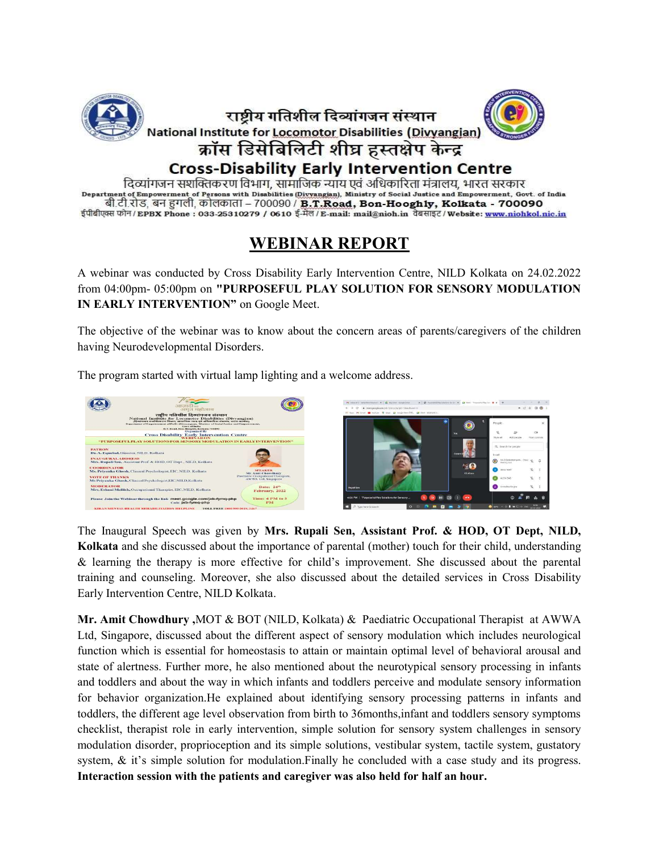

दिव्यांगजन सशक्तिकरण विभाग, सामाजिक न्याय एवं अधिकारिता मंत्रालय, भारत सरकार Department of Empowerment of Persons with Disabilities (Divyangian), Ministry of Social Justice and Empowerment, Govt. of India बी.टी.रोड, बन हुगली, कोलकाता – 700090 / **B.T.Road, Bon-Hooghly, Kolkata - 700090** ईपीबीएक्स फोन/EPBX Phone : 033-25310279 / 0610 ई-मेल/E-mail: mail@nioh.in वेबसाइट/Website: www.niohkol.nic.in

## WEBINAR REPORT

A webinar was conducted by Cross Disability Early Intervention Centre, NILD Kolkata on 24.02.2022 from 04:00pm- 05:00pm on "PURPOSEFUL PLAY SOLUTION FOR SENSORY MODULATION IN EARLY INTERVENTION" on Google Meet.

The objective of the webinar was to know about the concern areas of parents/caregivers of the children having Neurodevelopmental Disorders.

having Neurodevelopmental Disorders.<br>The program started with virtual lamp lighting and a welcome address.



The Inaugural Speech was given by Mrs. Rupali Sen, Assistant Prof. & HOD, OT Dept, NILD, Kolkata and she discussed about the importance of parental (mother) touch for their child, understanding & learning the therapy is more effective for child's improvement. She discussed about the parental training and counseling. Moreover, she also discussed about the detailed services in Cross Disability<br>Early Intervention Centre, NILD Kolkata.<br>Mr. Amit Chowdhury ,MOT & BOT (NILD, Kolkata) & Paediatric Occupational Therapi Early Intervention Centre, NILD Kolkata.

Mr. Amit Chowdhury, MOT & BOT (NILD, Kolkata) & Paediatric Occupational Therapist at Ltd, Singapore, discussed about the different aspect of sensory modulation which includes neurological function which is essential for homeostasis to attain or maintain optimal level of behavioral arousal and<br>state of alertness. Further more, he also mentioned about the neurotypical sensory processing in infants state of alertness. Further more, he also mentioned about the neurotypical sensory processing in and toddlers and about the way in which infants and toddlers perceive and modulate sensory information and toddlers and about the way in which infants and toddlers perceive and modulate sensory information<br>for behavior organization.He explained about identifying sensory processing patterns in infants and toddlers, the different age level observation from birth to 36months, infant and toddlers sensory symptoms checklist, therapist role in early intervention, simple solution for sensory system challenges in sensory checklist, therapist role in early intervention, simple solution for sensory modulation disorder, proprioception and its simple solutions, vestibular system, tactile system, gustatory system, & it's simple solution for modulation. Finally he concluded with a case study and its progress. system,  $\&$  it's simple solution for modulation. Finally he concluded with a case study and its progress. Interaction session with the patients and caregiver was also held for half an hour.